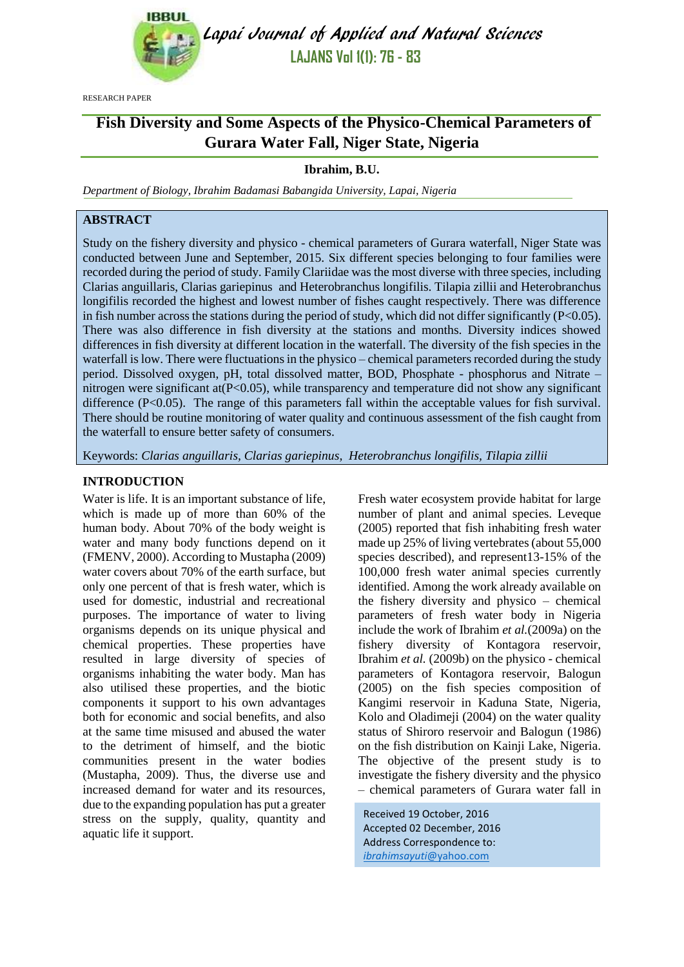

Lapai Journal of Applied and Natural Sciences **LAJANS Vol 1(1): 76 - 83**

RESEARCH PAPER

# **Fish Diversity and Some Aspects of the Physico-Chemical Parameters of Gurara Water Fall, Niger State, Nigeria**

## **Ibrahim, B.U.**

*Department of Biology, Ibrahim Badamasi Babangida University, Lapai, Nigeria*

## **ABSTRACT**

Study on the fishery diversity and physico - chemical parameters of Gurara waterfall, Niger State was conducted between June and September, 2015. Six different species belonging to four families were recorded during the period of study. Family Clariidae was the most diverse with three species, including Clarias anguillaris, Clarias gariepinus and Heterobranchus longifilis. Tilapia zillii and Heterobranchus longifilis recorded the highest and lowest number of fishes caught respectively. There was difference in fish number across the stations during the period of study, which did not differ significantly ( $P<0.05$ ). There was also difference in fish diversity at the stations and months. Diversity indices showed differences in fish diversity at different location in the waterfall. The diversity of the fish species in the waterfall is low. There were fluctuations in the physico – chemical parameters recorded during the study period. Dissolved oxygen, pH, total dissolved matter, BOD, Phosphate - phosphorus and Nitrate – nitrogen were significant at(P<0.05), while transparency and temperature did not show any significant difference  $(P<0.05)$ . The range of this parameters fall within the acceptable values for fish survival. There should be routine monitoring of water quality and continuous assessment of the fish caught from the waterfall to ensure better safety of consumers.

Keywords: *Clarias anguillaris, Clarias gariepinus, Heterobranchus longifilis, Tilapia zillii*

## **INTRODUCTION**

Water is life. It is an important substance of life, which is made up of more than 60% of the human body. About 70% of the body weight is water and many body functions depend on it (FMENV, 2000). According to Mustapha (2009) water covers about 70% of the earth surface, but only one percent of that is fresh water, which is used for domestic, industrial and recreational purposes. The importance of water to living organisms depends on its unique physical and chemical properties. These properties have resulted in large diversity of species of organisms inhabiting the water body. Man has also utilised these properties, and the biotic components it support to his own advantages both for economic and social benefits, and also at the same time misused and abused the water to the detriment of himself, and the biotic communities present in the water bodies (Mustapha, 2009). Thus, the diverse use and increased demand for water and its resources, due to the expanding population has put a greater stress on the supply, quality, quantity and aquatic life it support.

Fresh water ecosystem provide habitat for large number of plant and animal species. Leveque (2005) reported that fish inhabiting fresh water made up 25% of living vertebrates (about 55,000 species described), and represent13-15% of the 100,000 fresh water animal species currently identified. Among the work already available on the fishery diversity and physico – chemical parameters of fresh water body in Nigeria include the work of Ibrahim *et al.*(2009a) on the fishery diversity of Kontagora reservoir, Ibrahim *et al.* (2009b) on the physico - chemical parameters of Kontagora reservoir, Balogun (2005) on the fish species composition of Kangimi reservoir in Kaduna State, Nigeria, Kolo and Oladimeji (2004) on the water quality status of Shiroro reservoir and Balogun (1986) on the fish distribution on Kainji Lake, Nigeria. The objective of the present study is to investigate the fishery diversity and the physico – chemical parameters of Gurara water fall in

Received 19 October, 2016 Accepted 02 December, 2016 Address Correspondence to: *ibrahimsayuti*[@yahoo.com](mailto:ibrahimsayuti@yahoo.com)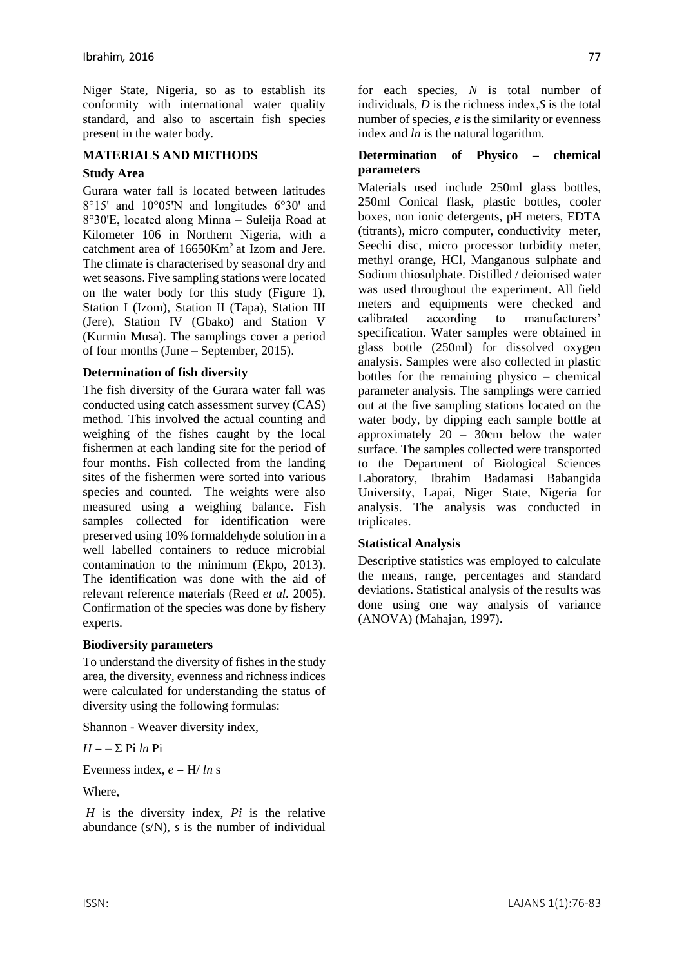Niger State, Nigeria, so as to establish its conformity with international water quality standard, and also to ascertain fish species present in the water body.

#### **MATERIALS AND METHODS**

#### **Study Area**

Gurara water fall is located between latitudes  $8^{\circ}15'$  and  $10^{\circ}05'$ N and longitudes  $6^{\circ}30'$  and 8°30ꞌE, located along Minna – Suleija Road at Kilometer 106 in Northern Nigeria, with a catchment area of 16650Km<sup>2</sup> at Izom and Jere. The climate is characterised by seasonal dry and wet seasons. Five sampling stations were located on the water body for this study (Figure 1), Station I (Izom), Station II (Tapa), Station III (Jere), Station IV (Gbako) and Station V (Kurmin Musa). The samplings cover a period of four months (June – September, 2015).

#### **Determination of fish diversity**

The fish diversity of the Gurara water fall was conducted using catch assessment survey (CAS) method. This involved the actual counting and weighing of the fishes caught by the local fishermen at each landing site for the period of four months. Fish collected from the landing sites of the fishermen were sorted into various species and counted. The weights were also measured using a weighing balance. Fish samples collected for identification were preserved using 10% formaldehyde solution in a well labelled containers to reduce microbial contamination to the minimum (Ekpo, 2013). The identification was done with the aid of relevant reference materials (Reed *et al.* 2005). Confirmation of the species was done by fishery experts.

#### **Biodiversity parameters**

To understand the diversity of fishes in the study area, the diversity, evenness and richness indices were calculated for understanding the status of diversity using the following formulas:

Shannon - Weaver diversity index,

$$
H = -\sum_{i} P_i \ln P_i
$$

Evenness index,  $e = H / ln s$ 

Where,

*H* is the diversity index, *Pi* is the relative abundance (s/N), *s* is the number of individual for each species, *N* is total number of individuals, *D* is the richness index,*S* is the total number of species, *e* is the similarity or evenness index and *ln* is the natural logarithm.

#### **Determination of Physico – chemical parameters**

Materials used include 250ml glass bottles, 250ml Conical flask, plastic bottles, cooler boxes, non ionic detergents, pH meters, EDTA (titrants), micro computer, conductivity meter, Seechi disc, micro processor turbidity meter, methyl orange, HCl, Manganous sulphate and Sodium thiosulphate. Distilled / deionised water was used throughout the experiment. All field meters and equipments were checked and calibrated according to manufacturers' specification. Water samples were obtained in glass bottle (250ml) for dissolved oxygen analysis. Samples were also collected in plastic bottles for the remaining physico – chemical parameter analysis. The samplings were carried out at the five sampling stations located on the water body, by dipping each sample bottle at approximately 20 – 30cm below the water surface. The samples collected were transported to the Department of Biological Sciences Laboratory, Ibrahim Badamasi Babangida University, Lapai, Niger State, Nigeria for analysis. The analysis was conducted in triplicates.

#### **Statistical Analysis**

Descriptive statistics was employed to calculate the means, range, percentages and standard deviations. Statistical analysis of the results was done using one way analysis of variance (ANOVA) (Mahajan, 1997).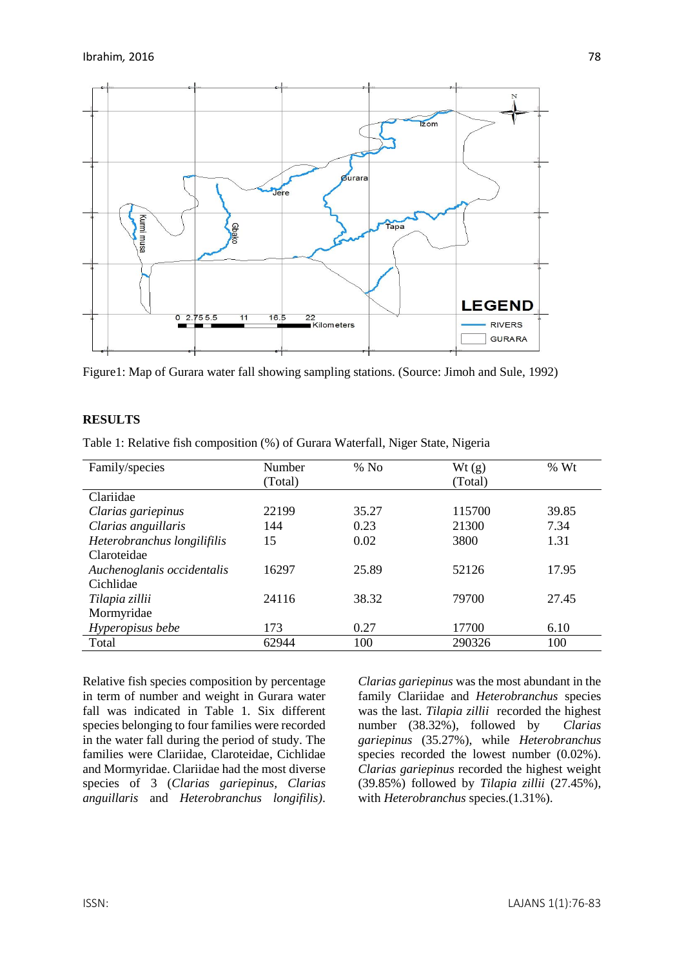

Figure1: Map of Gurara water fall showing sampling stations. (Source: Jimoh and Sule, 1992)

## **RESULTS**

Table 1: Relative fish composition (%) of Gurara Waterfall, Niger State, Nigeria

| Family/species              | Number  | $%$ No | Wt(g)   | % Wt  |
|-----------------------------|---------|--------|---------|-------|
|                             | (Total) |        | (Total) |       |
| Clariidae                   |         |        |         |       |
| Clarias gariepinus          | 22199   | 35.27  | 115700  | 39.85 |
| Clarias anguillaris         | 144     | 0.23   | 21300   | 7.34  |
| Heterobranchus longilifilis | 15      | 0.02   | 3800    | 1.31  |
| Claroteidae                 |         |        |         |       |
| Auchenoglanis occidentalis  | 16297   | 25.89  | 52126   | 17.95 |
| Cichlidae                   |         |        |         |       |
| Tilapia zillii              | 24116   | 38.32  | 79700   | 27.45 |
| Mormyridae                  |         |        |         |       |
| Hyperopisus bebe            | 173     | 0.27   | 17700   | 6.10  |
| Total                       | 62944   | 100    | 290326  | 100   |

Relative fish species composition by percentage in term of number and weight in Gurara water fall was indicated in Table 1. Six different species belonging to four families were recorded in the water fall during the period of study. The families were Clariidae, Claroteidae, Cichlidae and Mormyridae. Clariidae had the most diverse species of 3 (*Clarias gariepinus, Clarias anguillaris* and *Heterobranchus longifilis)*. *Clarias gariepinus* was the most abundant in the family Clariidae and *Heterobranchus* species was the last. *Tilapia zillii* recorded the highest number (38.32%), followed by *Clarias gariepinus* (35.27%), while *Heterobranchus* species recorded the lowest number (0.02%). *Clarias gariepinus* recorded the highest weight (39.85%) followed by *Tilapia zillii* (27.45%), with *Heterobranchus* species.(1.31%).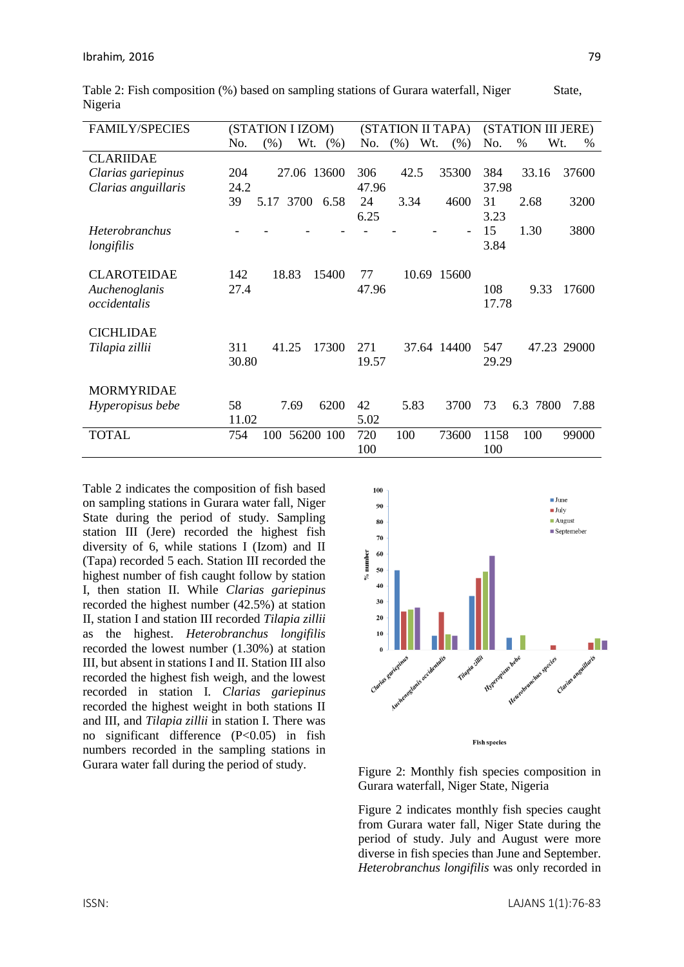| <b>FAMILY/SPECIES</b> | (STATION I IZOM) |                |             | (STATION II TAPA) |             |                          | (STATION III JERE) |             |             |
|-----------------------|------------------|----------------|-------------|-------------------|-------------|--------------------------|--------------------|-------------|-------------|
|                       | No.              | Wt.<br>$(\% )$ | (% )        | No.               | Wt.<br>(% ) | (% )                     | No.                | $\%$        | Wt.<br>$\%$ |
| <b>CLARIIDAE</b>      |                  |                |             |                   |             |                          |                    |             |             |
| Clarias gariepinus    | 204              |                | 27.06 13600 | 306               | 42.5        | 35300                    | 384                | 33.16       | 37600       |
| Clarias anguillaris   | 24.2             |                |             | 47.96             |             |                          | 37.98              |             |             |
|                       | 39               | 5.17 3700      | 6.58        | 24                | 3.34        | 4600                     | 31                 | 2.68        | 3200        |
|                       |                  |                |             | 6.25              |             |                          | 3.23               |             |             |
| <b>Heterobranchus</b> |                  |                |             |                   |             | $\overline{\phantom{0}}$ | 15                 | 1.30        | 3800        |
| longifilis            |                  |                |             |                   |             |                          | 3.84               |             |             |
|                       |                  |                |             |                   |             |                          |                    |             |             |
| <b>CLAROTEIDAE</b>    | 142              | 18.83          | 15400       | 77                |             | 10.69 15600              |                    |             |             |
| Auchenoglanis         | 27.4             |                |             | 47.96             |             |                          | 108                | 9.33        | 17600       |
| occidentalis          |                  |                |             |                   |             |                          | 17.78              |             |             |
|                       |                  |                |             |                   |             |                          |                    |             |             |
| <b>CICHLIDAE</b>      |                  |                |             |                   |             |                          |                    |             |             |
| Tilapia zillii        | 311              | 41.25          | 17300       | 271               |             | 37.64 14400              | 547                |             | 47.23 29000 |
|                       | 30.80            |                |             | 19.57             |             |                          | 29.29              |             |             |
|                       |                  |                |             |                   |             |                          |                    |             |             |
| <b>MORMYRIDAE</b>     |                  |                |             |                   |             |                          |                    |             |             |
| Hyperopisus bebe      | 58               | 7.69           | 6200        | 42                | 5.83        | 3700                     | 73                 | 7800<br>6.3 | 7.88        |
|                       | 11.02            |                |             | 5.02              |             |                          |                    |             |             |
| <b>TOTAL</b>          | 754              | 100            | 56200 100   | 720               | 100         | 73600                    | 1158               | 100         | 99000       |
|                       |                  |                |             | 100               |             |                          | 100                |             |             |

Table 2: Fish composition (%) based on sampling stations of Gurara waterfall, Niger State, Nigeria

Table 2 indicates the composition of fish based on sampling stations in Gurara water fall, Niger State during the period of study. Sampling station III (Jere) recorded the highest fish diversity of 6, while stations I (Izom) and II (Tapa) recorded 5 each. Station III recorded the highest number of fish caught follow by station I, then station II. While *Clarias gariepinus* recorded the highest number (42.5%) at station II, station I and station III recorded *Tilapia zillii* as the highest. *Heterobranchus longifilis* recorded the lowest number (1.30%) at station III, but absent in stations I and II. Station III also recorded the highest fish weigh, and the lowest recorded in station I. *Clarias gariepinus* recorded the highest weight in both stations II and III, and *Tilapia zillii* in station I. There was no significant difference (P<0.05) in fish numbers recorded in the sampling stations in Gurara water fall during the period of study.<br>Figure 2: Monthly fish species composition in



Gurara waterfall, Niger State, Nigeria

Figure 2 indicates monthly fish species caught from Gurara water fall, Niger State during the period of study. July and August were more diverse in fish species than June and September. *Heterobranchus longifilis* was only recorded in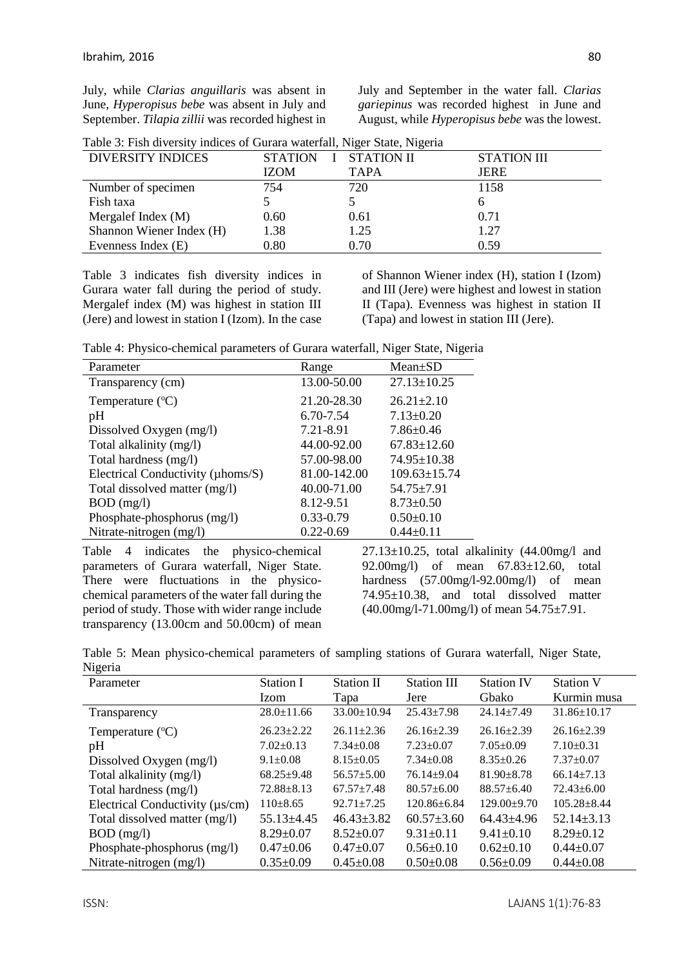July, while *Clarias anguillaris* was absent in June, *Hyperopisus bebe* was absent in July and September. *Tilapia zillii* was recorded highest in July and September in the water fall. *Clarias gariepinus* was recorded highest in June and August, while *Hyperopisus bebe* was the lowest.

|  |  |  | Table 3: Fish diversity indices of Gurara waterfall, Niger State, Nigeria |  |  |
|--|--|--|---------------------------------------------------------------------------|--|--|
|  |  |  |                                                                           |  |  |

| <b>DIVERSITY INDICES</b> | STATION I STATION II |             | STATION III |
|--------------------------|----------------------|-------------|-------------|
|                          | <b>IZOM</b>          | <b>TAPA</b> | <b>JERE</b> |
| Number of specimen       | 754                  | 720         | 1158        |
| Fish taxa                |                      |             |             |
| Mergalef Index (M)       | 0.60                 | 0.61        | 0.71        |
| Shannon Wiener Index (H) | 1.38                 | 1.25        | 1.27        |
| Evenness Index (E)       | 0.80                 | 0.70        | 0.59        |

Table 3 indicates fish diversity indices in Gurara water fall during the period of study. Mergalef index (M) was highest in station III (Jere) and lowest in station I (Izom). In the case of Shannon Wiener index (H), station I (Izom) and III (Jere) were highest and lowest in station II (Tapa). Evenness was highest in station II (Tapa) and lowest in station III (Jere).

Table 4: Physico-chemical parameters of Gurara waterfall, Niger State, Nigeria

| Parameter                         | Range         | $Mean \pm SD$      |
|-----------------------------------|---------------|--------------------|
| Transparency (cm)                 | 13.00-50.00   | $27.13 \pm 10.25$  |
| Temperature $(^{\circ}C)$         | 21.20-28.30   | $26.21 \pm 2.10$   |
| pH                                | 6.70-7.54     | $7.13 \pm 0.20$    |
| Dissolved Oxygen (mg/l)           | 7.21-8.91     | $7.86 \pm 0.46$    |
| Total alkalinity (mg/l)           | 44.00-92.00   | $67.83 \pm 12.60$  |
| Total hardness (mg/l)             | 57.00-98.00   | 74.95±10.38        |
| Electrical Conductivity (µhoms/S) | 81.00-142.00  | $109.63 \pm 15.74$ |
| Total dissolved matter (mg/l)     | 40.00-71.00   | $54.75 \pm 7.91$   |
| $BOD$ (mg/l)                      | 8.12-9.51     | $8.73 \pm 0.50$    |
| Phosphate-phosphorus (mg/l)       | $0.33 - 0.79$ | $0.50 \pm 0.10$    |
| Nitrate-nitrogen (mg/l)           | $0.22 - 0.69$ | $0.44 \pm 0.11$    |

Table 4 indicates the physico-chemical parameters of Gurara waterfall, Niger State. There were fluctuations in the physicochemical parameters of the water fall during the period of study. Those with wider range include transparency (13.00cm and 50.00cm) of mean

 $27.13\pm10.25$ , total alkalinity  $(44.00$ mg/l and 92.00mg/l) of mean 67.83±12.60, total hardness (57.00mg/l-92.00mg/l) of mean 74.95±10.38, and total dissolved matter (40.00mg/l-71.00mg/l) of mean 54.75±7.91.

|         | Table 5: Mean physico-chemical parameters of sampling stations of Gurara waterfall, Niger State, |  |  |  |  |  |
|---------|--------------------------------------------------------------------------------------------------|--|--|--|--|--|
| Nigeria |                                                                                                  |  |  |  |  |  |

| Parameter                              | <b>Station I</b> | <b>Station II</b> | Station III       | <b>Station IV</b> | <b>Station V</b>  |
|----------------------------------------|------------------|-------------------|-------------------|-------------------|-------------------|
|                                        | Izom             | Tapa              | Jere              | Gbako             | Kurmin musa       |
| Transparency                           | $28.0 \pm 11.66$ | 33.00±10.94       | $25.43 \pm 7.98$  | $24.14 \pm 7.49$  | $31.86 \pm 10.17$ |
| Temperature $(^{\circ}C)$              | $26.23 \pm 2.22$ | $26.11 \pm 2.36$  | $26.16 \pm 2.39$  | $26.16 \pm 2.39$  | $26.16 \pm 2.39$  |
| pH                                     | $7.02 \pm 0.13$  | $7.34 \pm 0.08$   | $7.23 \pm 0.07$   | $7.05 \pm 0.09$   | $7.10 \pm 0.31$   |
| Dissolved Oxygen (mg/l)                | $9.1 \pm 0.08$   | $8.15 \pm 0.05$   | $7.34 \pm 0.08$   | $8.35 \pm 0.26$   | $7.37 \pm 0.07$   |
| Total alkalinity (mg/l)                | $68.25 \pm 9.48$ | $56.57 + 5.00$    | $76.14 + 9.04$    | $81.90 \pm 8.78$  | $66.14 \pm 7.13$  |
| Total hardness (mg/l)                  | $72.88 \pm 8.13$ | $67.57 + 7.48$    | $80.57 + 6.00$    | $88.57+6.40$      | $72.43 \pm 6.00$  |
| Electrical Conductivity ( $\mu s/cm$ ) | $110\pm8.65$     | $92.71 \pm 7.25$  | $120.86 \pm 6.84$ | $129.00+9.70$     | $105.28 + 8.44$   |
| Total dissolved matter (mg/l)          | $55.13 \pm 4.45$ | $46.43 \pm 3.82$  | $60.57 \pm 3.60$  | $64.43 \pm 4.96$  | $52.14 \pm 3.13$  |
| $BOD$ (mg/l)                           | $8.29 \pm 0.07$  | $8.52 \pm 0.07$   | $9.31 \pm 0.11$   | $9.41 \pm 0.10$   | $8.29 \pm 0.12$   |
| Phosphate-phosphorus (mg/l)            | $0.47 \pm 0.06$  | $0.47 \pm 0.07$   | $0.56 \pm 0.10$   | $0.62 \pm 0.10$   | $0.44 \pm 0.07$   |
| Nitrate-nitrogen (mg/l)                | $0.35 \pm 0.09$  | $0.45 \pm 0.08$   | $0.50 \pm 0.08$   | $0.56 \pm 0.09$   | $0.44 \pm 0.08$   |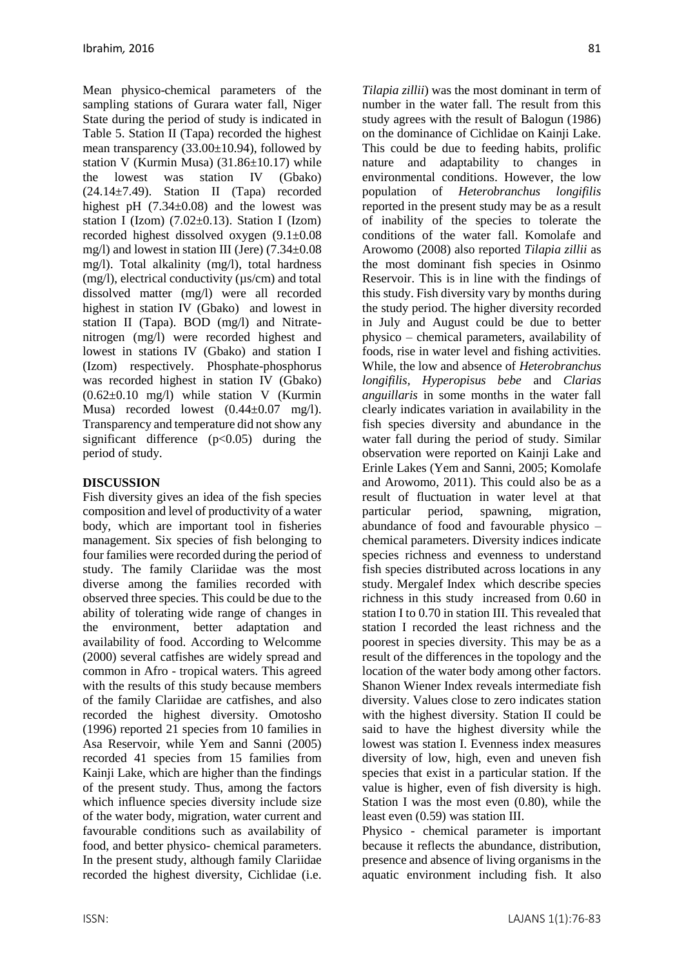Mean physico-chemical parameters of the sampling stations of Gurara water fall, Niger State during the period of study is indicated in Table 5. Station II (Tapa) recorded the highest mean transparency (33.00±10.94), followed by station V (Kurmin Musa) (31.86±10.17) while the lowest was station IV (Gbako) (24.14±7.49). Station II (Tapa) recorded highest pH  $(7.34\pm0.08)$  and the lowest was station I (Izom)  $(7.02\pm0.13)$ . Station I (Izom) recorded highest dissolved oxygen (9.1±0.08 mg/l) and lowest in station III (Jere) (7.34±0.08 mg/l). Total alkalinity (mg/l), total hardness (mg/l), electrical conductivity (µs/cm) and total dissolved matter (mg/l) were all recorded highest in station IV (Gbako) and lowest in station II (Tapa). BOD (mg/l) and Nitratenitrogen (mg/l) were recorded highest and lowest in stations IV (Gbako) and station I (Izom) respectively. Phosphate-phosphorus was recorded highest in station IV (Gbako)  $(0.62\pm0.10 \text{ mg/l})$  while station V (Kurmin Musa) recorded lowest  $(0.44 \pm 0.07 \text{ mg/l})$ . Transparency and temperature did not show any significant difference  $(p<0.05)$  during the period of study.

# **DISCUSSION**

Fish diversity gives an idea of the fish species composition and level of productivity of a water body, which are important tool in fisheries management. Six species of fish belonging to four families were recorded during the period of study. The family Clariidae was the most diverse among the families recorded with observed three species. This could be due to the ability of tolerating wide range of changes in the environment, better adaptation and availability of food. According to Welcomme (2000) several catfishes are widely spread and common in Afro - tropical waters. This agreed with the results of this study because members of the family Clariidae are catfishes, and also recorded the highest diversity. Omotosho (1996) reported 21 species from 10 families in Asa Reservoir, while Yem and Sanni (2005) recorded 41 species from 15 families from Kainji Lake, which are higher than the findings of the present study. Thus, among the factors which influence species diversity include size of the water body, migration, water current and favourable conditions such as availability of food, and better physico- chemical parameters. In the present study, although family Clariidae recorded the highest diversity, Cichlidae (i.e.

*Tilapia zillii*) was the most dominant in term of number in the water fall. The result from this study agrees with the result of Balogun (1986) on the dominance of Cichlidae on Kainji Lake. This could be due to feeding habits, prolific nature and adaptability to changes in environmental conditions. However, the low population of *Heterobranchus longifilis* reported in the present study may be as a result of inability of the species to tolerate the conditions of the water fall. Komolafe and Arowomo (2008) also reported *Tilapia zillii* as the most dominant fish species in Osinmo Reservoir. This is in line with the findings of this study. Fish diversity vary by months during the study period. The higher diversity recorded in July and August could be due to better physico – chemical parameters, availability of foods, rise in water level and fishing activities. While, the low and absence of *Heterobranchus longifilis, Hyperopisus bebe* and *Clarias anguillaris* in some months in the water fall clearly indicates variation in availability in the fish species diversity and abundance in the water fall during the period of study. Similar observation were reported on Kainji Lake and Erinle Lakes (Yem and Sanni, 2005; Komolafe and Arowomo, 2011). This could also be as a result of fluctuation in water level at that particular period, spawning, migration, abundance of food and favourable physico – chemical parameters. Diversity indices indicate species richness and evenness to understand fish species distributed across locations in any study. Mergalef Index which describe species richness in this study increased from 0.60 in station I to 0.70 in station III. This revealed that station I recorded the least richness and the poorest in species diversity. This may be as a result of the differences in the topology and the location of the water body among other factors. Shanon Wiener Index reveals intermediate fish diversity. Values close to zero indicates station with the highest diversity. Station II could be said to have the highest diversity while the

lowest was station I. Evenness index measures diversity of low, high, even and uneven fish species that exist in a particular station. If the value is higher, even of fish diversity is high. Station I was the most even (0.80), while the least even (0.59) was station III.

Physico - chemical parameter is important because it reflects the abundance, distribution, presence and absence of living organisms in the aquatic environment including fish. It also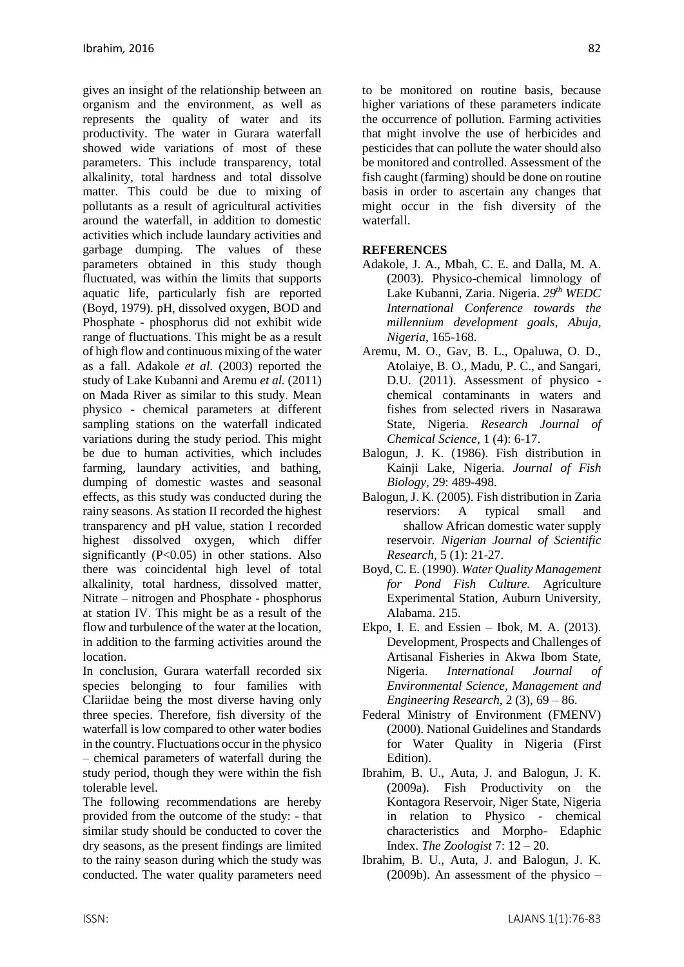gives an insight of the relationship between an organism and the environment, as well as represents the quality of water and its productivity. The water in Gurara waterfall showed wide variations of most of these parameters. This include transparency, total alkalinity, total hardness and total dissolve matter. This could be due to mixing of pollutants as a result of agricultural activities around the waterfall, in addition to domestic activities which include laundary activities and garbage dumping. The values of these parameters obtained in this study though fluctuated, was within the limits that supports aquatic life, particularly fish are reported (Boyd, 1979). pH, dissolved oxygen, BOD and Phosphate - phosphorus did not exhibit wide range of fluctuations. This might be as a result of high flow and continuous mixing of the water as a fall. Adakole *et al*. (2003) reported the study of Lake Kubanni and Aremu *et al.* (2011) on Mada River as similar to this study. Mean physico - chemical parameters at different sampling stations on the waterfall indicated variations during the study period. This might be due to human activities, which includes farming, laundary activities, and bathing, dumping of domestic wastes and seasonal effects, as this study was conducted during the rainy seasons. As station II recorded the highest transparency and pH value, station I recorded highest dissolved oxygen, which differ significantly  $(P<0.05)$  in other stations. Also there was coincidental high level of total alkalinity, total hardness, dissolved matter, Nitrate – nitrogen and Phosphate - phosphorus at station IV. This might be as a result of the flow and turbulence of the water at the location, in addition to the farming activities around the location.

In conclusion, Gurara waterfall recorded six species belonging to four families with Clariidae being the most diverse having only three species. Therefore, fish diversity of the waterfall is low compared to other water bodies in the country. Fluctuations occur in the physico – chemical parameters of waterfall during the study period, though they were within the fish tolerable level.

The following recommendations are hereby provided from the outcome of the study: - that similar study should be conducted to cover the dry seasons, as the present findings are limited to the rainy season during which the study was conducted. The water quality parameters need to be monitored on routine basis, because higher variations of these parameters indicate the occurrence of pollution. Farming activities that might involve the use of herbicides and pesticides that can pollute the water should also be monitored and controlled. Assessment of the fish caught (farming) should be done on routine basis in order to ascertain any changes that might occur in the fish diversity of the waterfall.

#### **REFERENCES**

- Adakole, J. A., Mbah, C. E. and Dalla, M. A. (2003). Physico-chemical limnology of Lake Kubanni, Zaria. Nigeria. *29th WEDC International Conference towards the millennium development goals, Abuja, Nigeria*, 165-168.
- Aremu, M. O., Gav, B. L., Opaluwa, O. D., Atolaiye, B. O., Madu, P. C., and Sangari, D.U. (2011). Assessment of physico chemical contaminants in waters and fishes from selected rivers in Nasarawa State, Nigeria. *Research Journal of Chemical Science*, 1 (4): 6-17.
- Balogun, J. K. (1986). Fish distribution in Kainji Lake, Nigeria. *Journal of Fish Biology*, 29: 489-498.
- Balogun, J. K. (2005). Fish distribution in Zaria reserviors: A typical small and shallow African domestic water supply reservoir. *Nigerian Journal of Scientific Research,* 5 (1): 21-27.
- Boyd, C. E. (1990). *Water Quality Management for Pond Fish Culture.* Agriculture Experimental Station, Auburn University, Alabama. 215.
- Ekpo, I. E. and Essien Ibok, M. A. (2013). Development, Prospects and Challenges of Artisanal Fisheries in Akwa Ibom State, Nigeria. *International Journal of Environmental Science, Management and Engineering Research,* 2 (3), 69 – 86.
- Federal Ministry of Environment (FMENV) (2000). National Guidelines and Standards for Water Quality in Nigeria (First Edition).
- Ibrahim, B. U., Auta, J. and Balogun, J. K. (2009a). Fish Productivity on the Kontagora Reservoir, Niger State, Nigeria in relation to Physico - chemical characteristics and Morpho- Edaphic Index. *The Zoologist* 7: 12 – 20.
- Ibrahim, B. U., Auta, J. and Balogun, J. K. (2009b). An assessment of the physico –